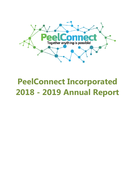

# **PeelConnect Incorporated 2018 - 2019 Annual Report**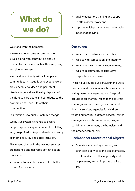# **What do we do?**

We stand with the homeless.

We work to overcome accommodation issues, along with contributing and comorbid factors of mental health issues, drug and alcohol misuse.

We stand in solidarity with all people and communities in Australia who experience, or are vulnerable to, deep and persistent disadvantage and are thereby deprived of the right to participate and contribute to the economic and social life of their communities.

Our mission is to pursue systemic change. We pursue systemic change to ensure people experiencing, or vulnerable to falling into, deep disadvantage and exclusion, enjoy economic security and social inclusion.

This means change in the way our services are designed and delivered so that people can access:

• income to meet basic needs for shelter and food security,

- quality education, training and support to attain decent work and,
- support which provides care and enables independent living.

## **Our values**

- We are fierce advocates for justice,
- We act with compassion and integrity,
- We are innovative and always learning,
- We are accountable, collaborative, respectful and inclusive.

These values guide our behaviour and work practices, and they influence how we interact with government agencies, not-for-profit groups, local charities, relief agencies, crisis care organisations, emergency food and financial services, agencies for children, youth and families, outreach services, foster care agencies, in-home services, program participants, volunteers, the homeless and the broader community.

# **PeelConnect Constitutional Objects**

• Operate a mentoring, advocacy and counselling service to the disadvantaged, to relieve distress, illness, poverty and helplessness, and to improve quality of life.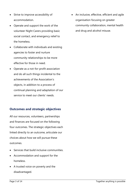- Strive to improve accessibility of accommodation.
- Operate and support the work of the volunteer Night Carers providing basic social contact, and emergency relief to the homeless.
- Collaborate with individuals and existing agencies to foster and nurture community relationships to be more effective for those in need.
- Operate as a not-for-profit association and do all such things incidental to the achievements of the Association's objects, in addition to a process of continual planning and adaptation of our service to meet our clients' needs.

## **Outcomes and strategic objectives**

All our resources, volunteers, partnerships and finances are focused on the following four outcomes. The strategic objectives each linked directly to an outcome, articulate our choices about how we will pursue these outcomes.

- Services that build inclusive communities.
- Accommodation and support for the homeless.
- A trusted voice on poverty and the disadvantaged.

• An inclusive, effective, efficient and agile organisation focusing on greater community collaboration, mental health and drug and alcohol misuse.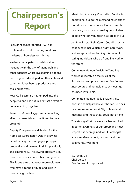# **Chairperson's Report**

PeelConnect Incorporated (PCI) has continued to assist in finding solutions to the issue of homelessness this year.

We have participated in collaborative meetings with the City of Mandurah and other agencies whilst investigating options and programs developed in other states and countries. It has been a productive and challenging year.

Rose Cull, Secretary has jumped into the deep end and has put in a fantastic effort to put everything together.

Treasurer Melissa Higgs has been looking after our financials and continues to do a great job.

Deputy Chairperson and Sewing for the Homeless Coordinator, Dale Mulvey has been keeping the sewing group happy, productive and growing in skills, practically and emotionally. The sewing program is our main source of income other than grants. This is one area that needs more volunteers who have a caring attitude and skills in maintaining the team.

Mentoring Advocacy Counselling Service is operational due to the outstanding efforts of Coordinator Doreen Jones. Doreen has also been very proactive in seeking out suitable people who can volunteer in all areas of PCI.

Jen Marcinkus, Night Carers Coordinator has continued in her valuable Night Carer work and we applaud her leading this team of caring individuals who do front line work on the street.

Committee Member Velicia Le Tang has worked diligently on the Rules of the Association and procedures for PeelConnect Incorporate and her guidance at meetings has been invaluable.

Committee Member, Julie Bywaters just hops in and helps wherever she can. She has been representing us at City of Mandurah meetings and those that I could not attend.

This strong effort by everyone has resulted in better awareness of our group and much respect has been gained for PCI amongst agencies, Government, business and the community. Well done.

Ron Withnell Chairperson PeelConnect Incorporated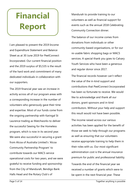# **Financial Report**

I am pleased to present the 2019 Income and Expenditure Statement and Balance Sheet as at 30 June 2019 for PeelConnect Incorporated. Our current financial position and the 2019 surplus of \$5,535 is the result of the hard work and commitment of many dedicated individuals in collaboration with our supporters.

The 2019 financial year saw an increase in activity across all of our program areas with a corresponding increase in the number of volunteers who generously gave their time and expertise. Most of our funds come from the ongoing partnership with Karingal St Laurence trading as Matchworks to deliver the successful Sewing for the Homeless program, which is now in its second year. We were also successful in securing a grant from Alcoa of Australia Limited's 'Alcoa Community Partnership Program' to contribute towards our MACS service operational costs for two years, and we were grateful to receive funding and sponsorship from the City of Mandurah, Bendigo Bank Halls Head and the Rotary Club's of

Mandurah to provide training to our volunteers as well as financial support for events such as the annual 2018 Celebrating Community Connection dinner.

The balance of our income comes from donations from individuals or other community-based organisations, or for our re-usable fabric shopping bags or MACS services. A special thank you goes to Calvary Youth Services who have been a generous and regular donor since 2017.

The financial records however can't reflect the value of the in-kind support and contributions that PeelConnect Incorporated has been so fortunate to receive. We would like to acknowledge and thank all our donors, grant sponsors and in-kind contributors. Without your help and support this result would not have been possible.

The income raised across our various activities has been applied for the benefit of those we seek to help through our programs as well as ensuring that our volunteers receive appropriate training to help them in their roles with us. Our most significant administration cost is the annual insurance premium for public and professional liability.

Towards the end of the financial year we received a number of grants which were to be spent in the next financial year. These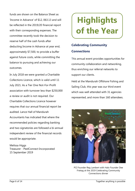funds are shown on the Balance Sheet as 'Income in Advance' of \$12, 063.13 and will be reflected in the 2019/20 financial report with their corresponding expenses. The committee recently took the decision to reserve half of the cash funds after deducting Income in Advance at year end, approximately \$7,500, to provide a buffer against future costs, while committing the balance to pursuing and achieving our outcomes.

In July 2018 we were granted a Charitable Collections Licence, which is valid until 11 July 2021. As a Tier One Not-For-Profit association with turnover less than \$250,000 a review or audit is not required. Our Charitable Collections Licence however requires that our annual financial report be audited. Lance Hall of Mandurah Accountants has indicated that where the recommended policies regarding banking and two signatories are followed a bi-annual independent review of the financial records would be appropriate.

Melissa Higgs Treasurer - PeelConnect Incorporated 15 September 2019

# **Highlights of the Year**

# **Celebrating Community Connections**

This annual event provides opportunities for community collaboration and networking, thus enriching our referral networks to support our clients.

Held at the Mandurah Offshore Fishing and Sailing Club, this year was our third event which was well attended with 31 agencies represented, and more than 160 attendees.



PCI Founder Reg Lambert with Halo Founder Dee Frietag at the 2019 Celebrating Community Connections dinner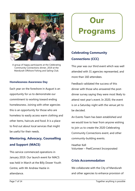

A group of happy participants at the Celebrating Community Connections dinner, 2019 at the Mandurah Offshore Fishing and Sailing Club.

#### **Homelessness Awareness Day**

Each year on the foreshore in August is an opportunity for us to demonstrate our commitment to working toward ending homelessness. Joining with other agencies this is an opportunity for those who are homeless to easily access warm clothing and other items, haircuts and food. It is a place to find out about local services that might be useful for their needs.

# **Mentoring, Advocacy, Counselling and Support (MACS)**

This service commenced operations in January 2019. Our launch event for MACS was held in March at the Billy Dower Youth Centre, with Mr Andrew Hastie in attendance.

**Our Programs** 

# **Celebrating Community Connections (CCC)**

This year was our third event which was well attended with 31 agencies represented, and more than 160 attendees.

Feedback validated the success of this dinner with those who answered the postdinner survey saying they were most likely to attend next year's event. In 2020, the event is on a Saturday night with the venue yet to be decided.

An Events Team has been established and we would love to hear from anyone wishing to join us to create the 2020 Celebrating Community Connections event, and other community-building events.

Heather Kell Volunteer – PeelConnect Incorporated

### **Crisis Accommodation**

We collaborate with the City of Mandurah and other agencies to enhance provision of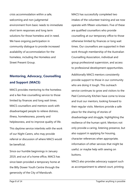crisis accommodation within a safe, welcoming and non-judgmental environment from basic needs to immediate short term responses and long term solutions for those homeless and in need. We have ongoing participation in community dialogue to provide increased availability of accommodation for the homeless, including the Homeless and Street Present Group.

# **Mentoring, Advocacy, Counselling and Support (MACS)**

MACS provides mentoring to the homeless and a fee-free counselling service to those limited by finances and long wait times. MACS counsellors and mentors work with disadvantaged people to relieve distress, illness, homelessness, poverty and helplessness, and to improve quality of life.

This daytime service interlinks with the work of our Night Carers, who may provide referral or discussion of where MACS would be beneficial.

Since our humble beginnings in January 2019, and out of a home office, MACS has since been provided a temporary home at the Billy Dower Youth Centre through the generosity of the City of Mandurah.

MACS has successfully completed two intakes of the volunteer training and we now operate with fifteen volunteers. Five of these are qualified counsellors who provide counselling at our temporary office to those otherwise limited by finances or long wait times. Our counsellors are supported in their work through membership of the Australian Counselling Association, individual and group professional supervision, and access to professional development opportunities. Additionally MACS mentors consistently

provide support to those in our community who are doing it tough. This outreach service continues to grow and visitors to the Peel Community Kitchen have come to know and trust our mentors, looking forward to their regular visits. Mentors provide a safe place for the sharing of stories of disadvantage and struggle, highlighting the resilience of the human spirit. Mentors not only provide a caring, listening presence, but also support in applying for housing, character references when appropriate, information of other services that might be useful, or maybe help with sewing on buttons.

MACS also provides advocacy support such as accompaniment to attend court, printing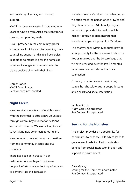and receiving of emails, and housing support.

MACS has been successful in obtaining two years of funding from Alcoa that contributes toward our operating costs.

As our presence in the community grows stronger, we look forward to providing more counselling support at this fee-free service, in addition to mentoring for the homeless, as we walk alongside those who want to create positive change in their lives.

Doreen Jones MACS Coordinator PeelConnect Incorporated

## **Night Carers**

We currently have a team of 6 night carers with the potential to attract new volunteers through community information sessions and word of mouth. We are looking forward to recruiting new volunteers to our team. We continue to receive generous donations from the community at large and PCI members.

There has been an increase in our distribution of care bags to homeless people. Unfortunately, collecting information to demonstrate the increase in

homelessness in Mandurah is challenging as we often meet the person once or twice and they then move on. Additionally they are reluctant to provide information which makes it difficult to demonstrate that homeless people are present in Mandurah.

The charity shops within Mandurah provide an opportunity for the homeless to shop for free as required and the 10 care bags that we have provided over the last 12 months have been over and above that social connection.

On every occasion we are provide tea, coffee, hot chocolate, cup-a-soups, biscuits and a snack and social interaction.

Jen Marcinkus Night Carers Coordinator PeelConnect Incorporated

## **Sewing for the Homeless**

This project provides an opportunity for participants to enhance skills, which leads to greater employability. Participants also benefit from social interaction in a fun and supportive environment.

Dale Mulvey Sewing for the Homeless Coordinator PeelConnect Incorporated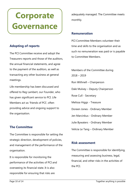# **Corporate Governance**

## **Adopting of reports**

The PCI Committee receive and adopt the Treasurers reports and those of the auditors, the annual financial statements, and agree to the payment of the auditors, as well as transacting any other business at general meetings.

Life membership has been discussed and offered to Reg Lambert, our Founder, who has given significant service to PCI. Life Members act as 'friends of PCI', often providing advice and ongoing support to the organisation.

# **The Committee**

The Committee is responsible for setting the strategic direction, development of policies, and management of the performance of the organisation.

It is responsible for monitoring the performance of the activities of PCI and overseeing its financial state. It is also responsible for ensuring that risks are

adequately managed. The Committee meets monthly.

### **Remuneration**

PCI Committee Members volunteer their time and skills to the organisation and as such no remuneration was paid or is payable to Committee Members.

Members of the Committee during 2018 – 2019 Ron Withnell – Chairperson Dale Mulvey – Deputy Chairperson Rose Cull - Secretary Melissa Higgs - Treasure Doreen Jones - Ordinary Member Jen Marcinkus - Ordinary Member Julie Bywaters - Ordinary Member Velicia Le Tang – Ordinary Member

### **Risk assessment**

The Committee is responsible for identifying, measuring and assessing business, legal, financial, and other risks in the activities of the PCI.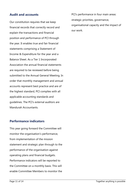### **Audit and accounts**

Our constitution requires that we keep financial records that correctly record and explain the transactions and financial position and performance of PCI through the year. It enables true and fair financial statements comprising a Statement of Income & Expenditure for the year and a Balance Sheet. As a Tier 1 Incorporated Association the annual financial statements are required to be reviewed before being submitted to the Annual General Meeting. In order that monthly management and annual accounts represent best practice and are of the highest standard, PCI complies with all applicable accounting standards and guidelines. The PCI's external auditors are Mandurah Accountants.

## **Performance indicators**

This year going forward the Committee will monitor the organisation's performance, from implementation of the mission statement and strategic plan through to the performance of the organisation against operating plans and financial budgets. Performance indicators will be reported to the Committee on a monthly basis. This will enable Committee Members to monitor the

PCI's performance in four main areas: strategic priorities, governance, organisational capacity and the impact of our work.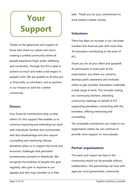# **Your Support**

Thanks to the generosity and support of those who share our values and vision; creating a unified community where all people experience hope, pride, wellbeing and connection. Through this PCI is able to achieve so much and make a real impact in people's lives. We are grateful to all who join us financially, as volunteers, and as partners in our mission to work for a better community.

### **Donors**

Your financial contributions help us help others. It's this support that enables us to continue improving and extending our work with individuals, families and communities who face disadvantage and who require counselling and mentoring. Money donations allow us to support the social and economic challenges that persistent homelessness presents in Mandurah. We recognise the kindness of people who give regularly, who give in response to our appeals and who may consider us in their

wills. Thank you for your commitment to work toward a better society.

## **Volunteers**

There has been an increase in our volunteer numbers this financial year with more than 30 volunteers contributing to the work of PCI.

Thank you for all your effort and goodwill. As participants in every part of the organisation, you share our concerns, develop public awareness and motivate others to get involved. Volunteers undertake a wide range of work. This includes visiting our community kitchens, attending community meetings on behalf of PCI, supporting jobseekers, connecting with the homeless, offering mentoring and counselling

The invaluable contribution you make to our organisation means we can continue to provide more support, to more people.

# **Partner organisations**

The reach and impact we have in the community would not be possible without collaboration. The partnerships we have with agencies, local government, community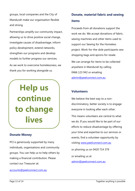groups, local companies and the City of Mandurah make our organisation flexible and strong.

Partnerships amplify our community impact, allowing us to drive positive social change, investigate causes of disadvantage, inform policy development, extend networks, strengthen our programs and develop models to further progress our services. As we work to overcome homelessness, we thank you for working alongside us.

# **Help us continue to change lives**

### **Donate Money**

PCI is generously supported by many individuals, organisations and community groups. You can help us to help others by making a financial contribution. Please contact our Treasurer at:

accounts@peelconnect.com.au

# **Donate, material fabric and sewing items**

Proceeds from all donations support the work we do. We accept donations of fabric, sewing machines and other items used to support our Sewing for the Homeless project. Work-for-the-dole participants sew shopping bags and aprons for resale.

We can arrange for items to be collected anywhere in Mandurah by calling 0466 123 942 or emailing admin@peelconnect.com.au

### **Volunteers**

We believe the best way to a nondiscriminatory, better society is to engage everyone in looking after each other.

This means volunteers are central to what we do. If you would like to be part of our efforts to reduce disadvantage by offering your time and expertise to our services or events, find a volunteer opportunity by visiting www.peelconnect.com.au or phoning us on 0420 714 379

or emailing us at admin@peelconnect.com.au